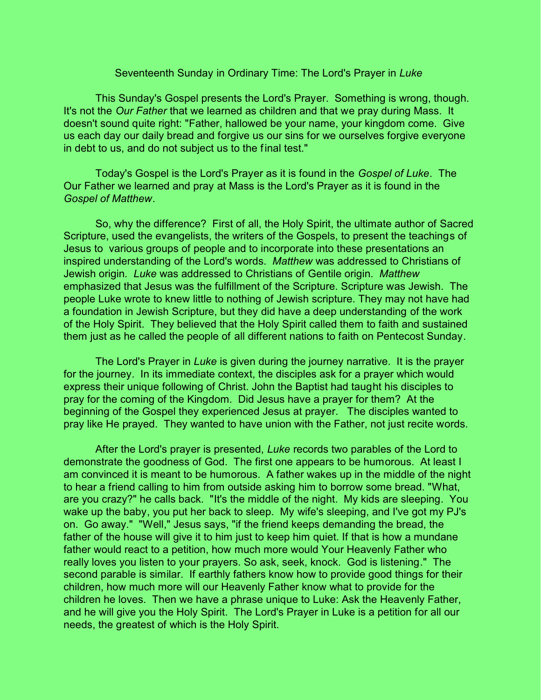## Seventeenth Sunday in Ordinary Time: The Lord's Prayer in *Luke*

This Sunday's Gospel presents the Lord's Prayer. Something is wrong, though. It's not the *Our Father* that we learned as children and that we pray during Mass. It doesn't sound quite right: "Father, hallowed be your name, your kingdom come. Give us each day our daily bread and forgive us our sins for we ourselves forgive everyone in debt to us, and do not subject us to the final test."

Today's Gospel is the Lord's Prayer as it is found in the *Gospel of Luke*. The Our Father we learned and pray at Mass is the Lord's Prayer as it is found in the *Gospel of Matthew*.

So, why the difference? First of all, the Holy Spirit, the ultimate author of Sacred Scripture, used the evangelists, the writers of the Gospels, to present the teachings of Jesus to various groups of people and to incorporate into these presentations an inspired understanding of the Lord's words. *Matthew* was addressed to Christians of Jewish origin*. Luke* was addressed to Christians of Gentile origin. *Matthew* emphasized that Jesus was the fulfillment of the Scripture. Scripture was Jewish. The people Luke wrote to knew little to nothing of Jewish scripture. They may not have had a foundation in Jewish Scripture, but they did have a deep understanding of the work of the Holy Spirit. They believed that the Holy Spirit called them to faith and sustained them just as he called the people of all different nations to faith on Pentecost Sunday.

The Lord's Prayer in *Luke* is given during the journey narrative. It is the prayer for the journey. In its immediate context, the disciples ask for a prayer which would express their unique following of Christ. John the Baptist had taught his disciples to pray for the coming of the Kingdom. Did Jesus have a prayer for them? At the beginning of the Gospel they experienced Jesus at prayer. The disciples wanted to pray like He prayed. They wanted to have union with the Father, not just recite words.

After the Lord's prayer is presented, *Luke* records two parables of the Lord to demonstrate the goodness of God. The first one appears to be humorous. At least I am convinced it is meant to be humorous. A father wakes up in the middle of the night to hear a friend calling to him from outside asking him to borrow some bread. "What, are you crazy?" he calls back. "It's the middle of the night. My kids are sleeping. You wake up the baby, you put her back to sleep. My wife's sleeping, and I've got my PJ's on. Go away." "Well," Jesus says, "if the friend keeps demanding the bread, the father of the house will give it to him just to keep him quiet. If that is how a mundane father would react to a petition, how much more would Your Heavenly Father who really loves you listen to your prayers. So ask, seek, knock. God is listening." The second parable is similar. If earthly fathers know how to provide good things for their children, how much more will our Heavenly Father know what to provide for the children he loves. Then we have a phrase unique to Luke: Ask the Heavenly Father, and he will give you the Holy Spirit. The Lord's Prayer in Luke is a petition for all our needs, the greatest of which is the Holy Spirit.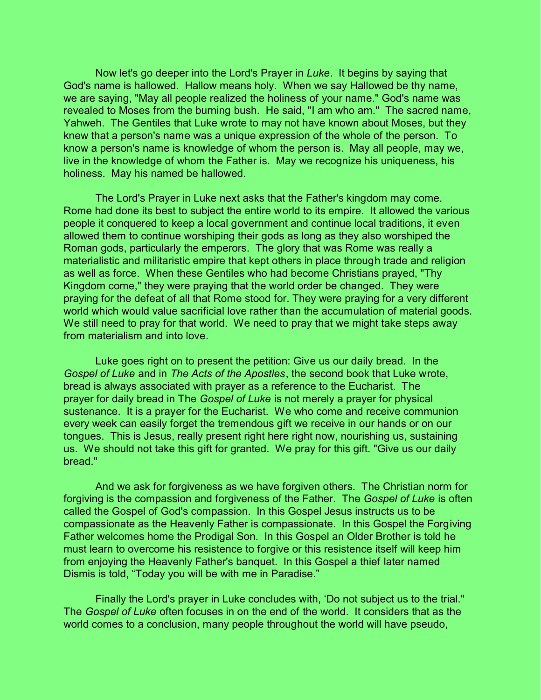Now let's go deeper into the Lord's Prayer in *Luke*. It begins by saying that God's name is hallowed. Hallow means holy. When we say Hallowed be thy name, we are saying, "May all people realized the holiness of your name." God's name was revealed to Moses from the burning bush. He said, "I am who am." The sacred name, Yahweh. The Gentiles that Luke wrote to may not have known about Moses, but they knew that a person's name was a unique expression of the whole of the person. To know a person's name is knowledge of whom the person is. May all people, may we, live in the knowledge of whom the Father is. May we recognize his uniqueness, his holiness. May his named be hallowed.

The Lord's Prayer in Luke next asks that the Father's kingdom may come. Rome had done its best to subject the entire world to its empire. It allowed the various people it conquered to keep a local government and continue local traditions, it even allowed them to continue worshiping their gods as long as they also worshiped the Roman gods, particularly the emperors. The glory that was Rome was really a materialistic and militaristic empire that kept others in place through trade and religion as well as force. When these Gentiles who had become Christians prayed, "Thy Kingdom come," they were praying that the world order be changed. They were praying for the defeat of all that Rome stood for. They were praying for a very different world which would value sacrificial love rather than the accumulation of material goods. We still need to pray for that world. We need to pray that we might take steps away from materialism and into love.

Luke goes right on to present the petition: Give us our daily bread. In the *Gospel of Luke* and in *The Acts of the Apostles*, the second book that Luke wrote, bread is always associated with prayer as a reference to the Eucharist. The prayer for daily bread in The *Gospel of Luke* is not merely a prayer for physical sustenance. It is a prayer for the Eucharist. We who come and receive communion every week can easily forget the tremendous gift we receive in our hands or on our tongues. This is Jesus, really present right here right now, nourishing us, sustaining us. We should not take this gift for granted. We pray for this gift. "Give us our daily bread."

And we ask for forgiveness as we have forgiven others. The Christian norm for forgiving is the compassion and forgiveness of the Father. The *Gospel of Luke* is often called the Gospel of God's compassion. In this Gospel Jesus instructs us to be compassionate as the Heavenly Father is compassionate. In this Gospel the Forgiving Father welcomes home the Prodigal Son. In this Gospel an Older Brother is told he must learn to overcome his resistence to forgive or this resistence itself will keep him from enjoying the Heavenly Father's banquet. In this Gospel a thief later named Dismis is told, "Today you will be with me in Paradise."

Finally the Lord's prayer in Luke concludes with, 'Do not subject us to the trial." The *Gospel of Luke* often focuses in on the end of the world. It considers that as the world comes to a conclusion, many people throughout the world will have pseudo,